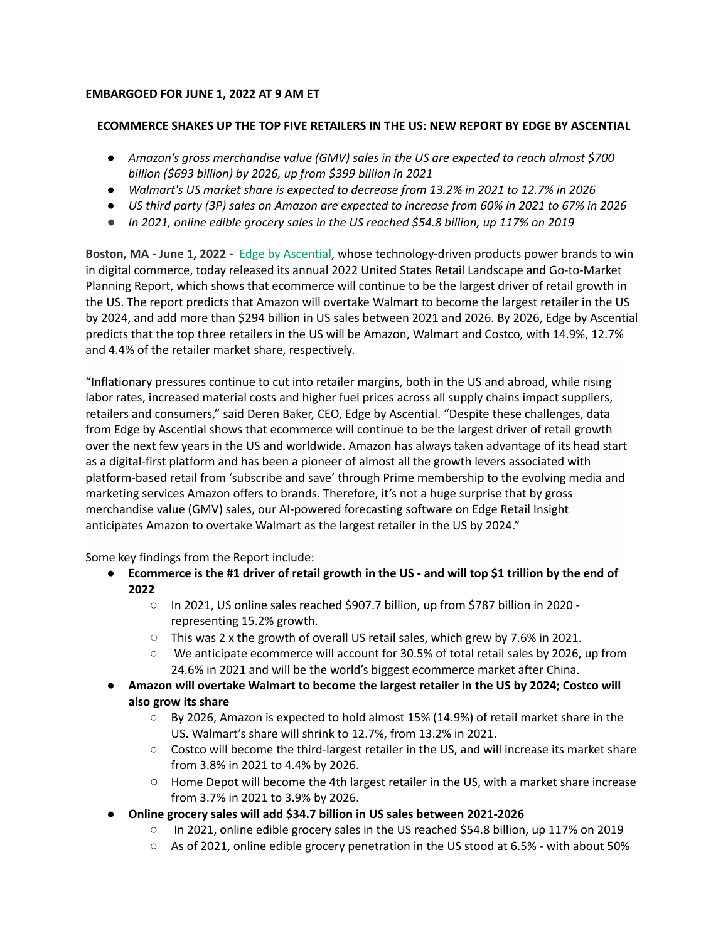# **EMBARGOED FOR JUNE 1, 2022 AT 9 AM ET**

## **ECOMMERCE SHAKES UP THE TOP FIVE RETAILERS IN THE US: NEW REPORT BY EDGE BY ASCENTIAL**

- *Amazon's gross merchandise value (GMV) sales in the US are expected to reach almost \$700 billion (\$693 billion) by 2026, up from \$399 billion in 2021*
- *Walmart's US market share is expected to decrease from 13.2% in 2021 to 12.7% in 2026*
- US third party (3P) sales on Amazon are expected to increase from 60% in 2021 to 67% in 2026
- *● In 2021, online edible grocery sales in the US reached \$54.8 billion, up 117% on 2019*

**Boston, MA - June 1, 2022 -** Edge by [Ascential,](https://www.ascentialedge.com/) whose technology-driven products power brands to win in digital commerce, today released its annual 2022 United States Retail Landscape and Go-to-Market Planning Report, which shows that ecommerce will continue to be the largest driver of retail growth in the US. The report predicts that Amazon will overtake Walmart to become the largest retailer in the US by 2024, and add more than \$294 billion in US sales between 2021 and 2026. By 2026, Edge by Ascential predicts that the top three retailers in the US will be Amazon, Walmart and Costco, with 14.9%, 12.7% and 4.4% of the retailer market share, respectively.

"Inflationary pressures continue to cut into retailer margins, both in the US and abroad, while rising labor rates, increased material costs and higher fuel prices across all supply chains impact suppliers, retailers and consumers," said Deren Baker, CEO, Edge by Ascential. "Despite these challenges, data from Edge by Ascential shows that ecommerce will continue to be the largest driver of retail growth over the next few years in the US and worldwide. Amazon has always taken advantage of its head start as a digital-first platform and has been a pioneer of almost all the growth levers associated with platform-based retail from 'subscribe and save' through Prime membership to the evolving media and marketing services Amazon offers to brands. Therefore, it's not a huge surprise that by gross merchandise value (GMV) sales, our AI-powered forecasting software on Edge Retail Insight anticipates Amazon to overtake Walmart as the largest retailer in the US by 2024."

Some key findings from the Report include:

- Ecommerce is the #1 driver of retail growth in the US and will top \$1 trillion by the end of **2022**
	- In 2021, US online sales reached \$907.7 billion, up from \$787 billion in 2020 representing 15.2% growth.
	- $\circ$  This was 2 x the growth of overall US retail sales, which grew by 7.6% in 2021.
	- We anticipate ecommerce will account for 30.5% of total retail sales by 2026, up from 24.6% in 2021 and will be the world's biggest ecommerce market after China.
- **● Amazon will overtake Walmart to become the largest retailer in the US by 2024; Costco will also grow its share**
	- By 2026, Amazon is expected to hold almost 15% (14.9%) of retail market share in the US. Walmart's share will shrink to 12.7%, from 13.2% in 2021.
	- Costco will become the third-largest retailer in the US, and will increase its market share from 3.8% in 2021 to 4.4% by 2026.
	- Home Depot will become the 4th largest retailer in the US, with a market share increase from 3.7% in 2021 to 3.9% by 2026.
- **● Online grocery sales will add \$34.7 billion in US sales between 2021-2026**
	- In 2021, online edible grocery sales in the US reached \$54.8 billion, up 117% on 2019
	- $\circ$  As of 2021, online edible grocery penetration in the US stood at 6.5% with about 50%